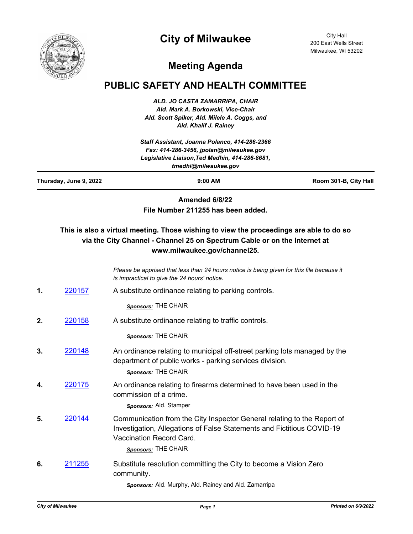## **City of Milwaukee**



City Hall 200 East Wells Street Milwaukee, WI 53202

## **Meeting Agenda**

## **PUBLIC SAFETY AND HEALTH COMMITTEE**

*ALD. JO CASTA ZAMARRIPA, CHAIR Ald. Mark A. Borkowski, Vice-Chair Ald. Scott Spiker, Ald. Milele A. Coggs, and Ald. Khalif J. Rainey*

| Staff Assistant, Joanna Polanco, 414-286-2366<br>Fax: 414-286-3456, jpolan@milwaukee.gov<br>Legislative Liaison, Ted Medhin, 414-286-8681,<br>tmedhi@milwaukee.gov |               |                                                                                                                                                                                                      |                       |
|--------------------------------------------------------------------------------------------------------------------------------------------------------------------|---------------|------------------------------------------------------------------------------------------------------------------------------------------------------------------------------------------------------|-----------------------|
| Thursday, June 9, 2022                                                                                                                                             |               | 9:00 AM                                                                                                                                                                                              | Room 301-B, City Hall |
|                                                                                                                                                                    |               | Amended 6/8/22<br>File Number 211255 has been added.                                                                                                                                                 |                       |
|                                                                                                                                                                    |               | This is also a virtual meeting. Those wishing to view the proceedings are able to do so<br>via the City Channel - Channel 25 on Spectrum Cable or on the Internet at<br>www.milwaukee.gov/channel25. |                       |
|                                                                                                                                                                    |               | Please be apprised that less than 24 hours notice is being given for this file because it<br>is impractical to give the 24 hours' notice.                                                            |                       |
| 1.                                                                                                                                                                 | 220157        | A substitute ordinance relating to parking controls.                                                                                                                                                 |                       |
|                                                                                                                                                                    |               | Sponsors: THE CHAIR                                                                                                                                                                                  |                       |
| 2.                                                                                                                                                                 | 220158        | A substitute ordinance relating to traffic controls.                                                                                                                                                 |                       |
|                                                                                                                                                                    |               | Sponsors: THE CHAIR                                                                                                                                                                                  |                       |
| 3.                                                                                                                                                                 | 220148        | An ordinance relating to municipal off-street parking lots managed by the<br>department of public works - parking services division.<br>Sponsors: THE CHAIR                                          |                       |
| 4.                                                                                                                                                                 | 220175        | An ordinance relating to firearms determined to have been used in the<br>commission of a crime.<br><b>Sponsors:</b> Ald. Stamper                                                                     |                       |
| 5.                                                                                                                                                                 | 220144        | Communication from the City Inspector General relating to the Report of<br>Investigation, Allegations of False Statements and Fictitious COVID-19<br>Vaccination Record Card.<br>Sponsors: THE CHAIR |                       |
| 6.                                                                                                                                                                 | <u>211255</u> | Substitute resolution committing the City to become a Vision Zero<br>community.<br>Sponsors: Ald. Murphy, Ald. Rainey and Ald. Zamarripa                                                             |                       |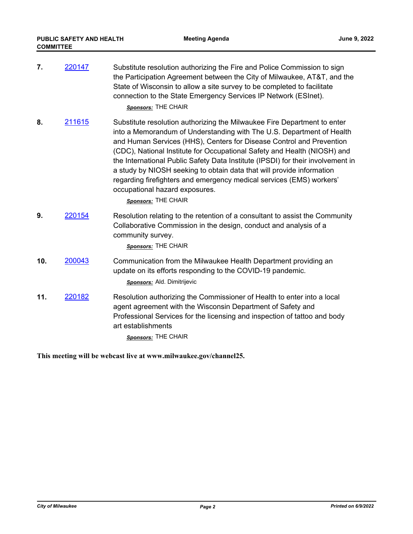| 7.  | 220147 | Substitute resolution authorizing the Fire and Police Commission to sign<br>the Participation Agreement between the City of Milwaukee, AT&T, and the<br>State of Wisconsin to allow a site survey to be completed to facilitate<br>connection to the State Emergency Services IP Network (ESInet).<br>Sponsors: THE CHAIR                                                                                                                                                                                                                                                                          |
|-----|--------|----------------------------------------------------------------------------------------------------------------------------------------------------------------------------------------------------------------------------------------------------------------------------------------------------------------------------------------------------------------------------------------------------------------------------------------------------------------------------------------------------------------------------------------------------------------------------------------------------|
| 8.  | 211615 | Substitute resolution authorizing the Milwaukee Fire Department to enter<br>into a Memorandum of Understanding with The U.S. Department of Health<br>and Human Services (HHS), Centers for Disease Control and Prevention<br>(CDC), National Institute for Occupational Safety and Health (NIOSH) and<br>the International Public Safety Data Institute (IPSDI) for their involvement in<br>a study by NIOSH seeking to obtain data that will provide information<br>regarding firefighters and emergency medical services (EMS) workers'<br>occupational hazard exposures.<br>Sponsors: THE CHAIR |
| 9.  | 220154 | Resolution relating to the retention of a consultant to assist the Community<br>Collaborative Commission in the design, conduct and analysis of a<br>community survey.<br>Sponsors: THE CHAIR                                                                                                                                                                                                                                                                                                                                                                                                      |
| 10. | 200043 | Communication from the Milwaukee Health Department providing an<br>update on its efforts responding to the COVID-19 pandemic.<br>Sponsors: Ald. Dimitrijevic                                                                                                                                                                                                                                                                                                                                                                                                                                       |
| 11. | 220182 | Resolution authorizing the Commissioner of Health to enter into a local<br>agent agreement with the Wisconsin Department of Safety and<br>Professional Services for the licensing and inspection of tattoo and body<br>art establishments<br>Sponsors: THE CHAIR                                                                                                                                                                                                                                                                                                                                   |

**This meeting will be webcast live at www.milwaukee.gov/channel25.**